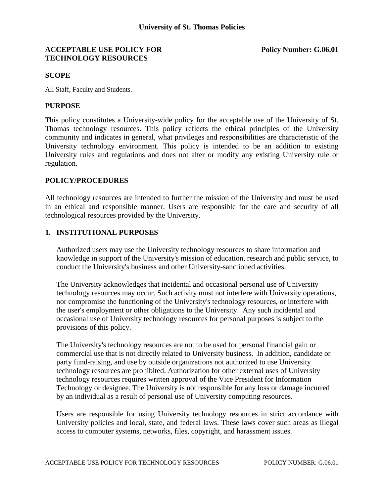### **ACCEPTABLE USE POLICY FOR POLICY POR Policy Number: G.06.01 TECHNOLOGY RESOURCES**

#### **SCOPE**

All Staff, Faculty and Students.

### **PURPOSE**

This policy constitutes a University-wide policy for the acceptable use of the University of St. Thomas technology resources. This policy reflects the ethical principles of the University community and indicates in general, what privileges and responsibilities are characteristic of the University technology environment. This policy is intended to be an addition to existing University rules and regulations and does not alter or modify any existing University rule or regulation.

# **POLICY/PROCEDURES**

All technology resources are intended to further the mission of the University and must be used in an ethical and responsible manner. Users are responsible for the care and security of all technological resources provided by the University.

## **1. INSTITUTIONAL PURPOSES**

Authorized users may use the University technology resources to share information and knowledge in support of the University's mission of education, research and public service, to conduct the University's business and other University-sanctioned activities.

The University acknowledges that incidental and occasional personal use of University technology resources may occur. Such activity must not interfere with University operations, nor compromise the functioning of the University's technology resources, or interfere with the user's employment or other obligations to the University. Any such incidental and occasional use of University technology resources for personal purposes is subject to the provisions of this policy.

The University's technology resources are not to be used for personal financial gain or commercial use that is not directly related to University business. In addition, candidate or party fund-raising, and use by outside organizations not authorized to use University technology resources are prohibited. Authorization for other external uses of University technology resources requires written approval of the Vice President for Information Technology or designee. The University is not responsible for any loss or damage incurred by an individual as a result of personal use of University computing resources.

Users are responsible for using University technology resources in strict accordance with University policies and local, state, and federal laws. These laws cover such areas as illegal access to computer systems, networks, files, copyright, and harassment issues.